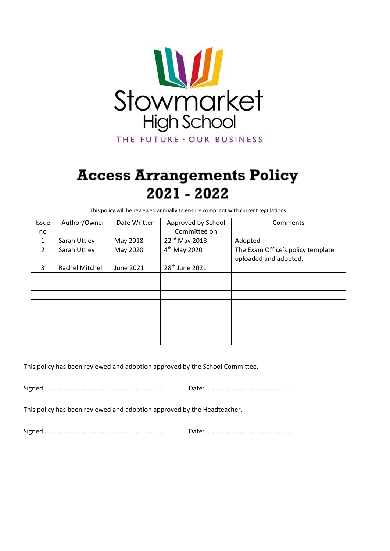

# **Access Arrangements Policy** 2021 - 2022

This policy will be reviewed annually to ensure compliant with current regulations

| <b>Issue</b>  | Author/Owner    | Date Written | Approved by School         | Comments                                                   |
|---------------|-----------------|--------------|----------------------------|------------------------------------------------------------|
| no.           |                 |              | Committee on               |                                                            |
| 1             | Sarah Uttley    | May 2018     | 22 <sup>nd</sup> May 2018  | Adopted                                                    |
| $\mathcal{L}$ | Sarah Uttley    | May 2020     | $4th$ May 2020             | The Exam Office's policy template<br>uploaded and adopted. |
| 3             | Rachel Mitchell | June 2021    | 28 <sup>th</sup> June 2021 |                                                            |
|               |                 |              |                            |                                                            |
|               |                 |              |                            |                                                            |
|               |                 |              |                            |                                                            |
|               |                 |              |                            |                                                            |
|               |                 |              |                            |                                                            |
|               |                 |              |                            |                                                            |
|               |                 |              |                            |                                                            |
|               |                 |              |                            |                                                            |

This policy has been reviewed and adoption approved by the School Committee.

Signed ……………………………………………………………… Date: …………………………………………….

This policy has been reviewed and adoption approved by the Headteacher.

Signed ……………………………………………………………… Date: …………………………………………….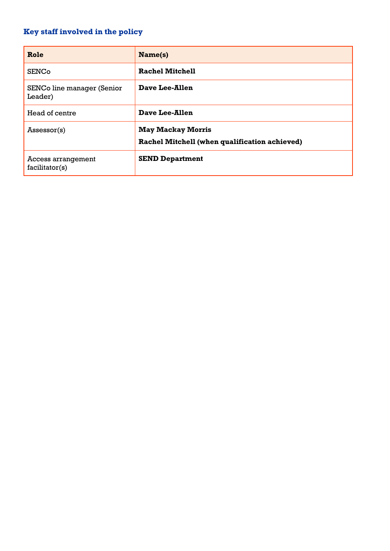# <span id="page-1-0"></span>**Key staff involved in the policy**

| Role                                  | Name(s)                                                                   |
|---------------------------------------|---------------------------------------------------------------------------|
| <b>SENCo</b>                          | <b>Rachel Mitchell</b>                                                    |
| SENCo line manager (Senior<br>Leader) | Dave Lee-Allen                                                            |
| Head of centre                        | Dave Lee-Allen                                                            |
| Assessor(s)                           | <b>May Mackay Morris</b><br>Rachel Mitchell (when qualification achieved) |
| Access arrangement<br>facilitator(s)  | <b>SEND Department</b>                                                    |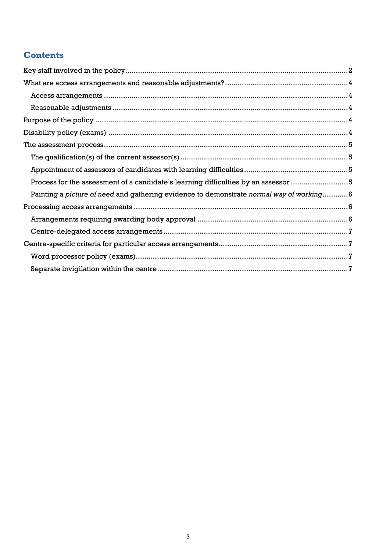# **Contents**

| Process for the assessment of a candidate's learning difficulties by an assessor 5      |  |  |  |
|-----------------------------------------------------------------------------------------|--|--|--|
| Painting a picture of need and gathering evidence to demonstrate normal way of working6 |  |  |  |
|                                                                                         |  |  |  |
|                                                                                         |  |  |  |
|                                                                                         |  |  |  |
|                                                                                         |  |  |  |
|                                                                                         |  |  |  |
|                                                                                         |  |  |  |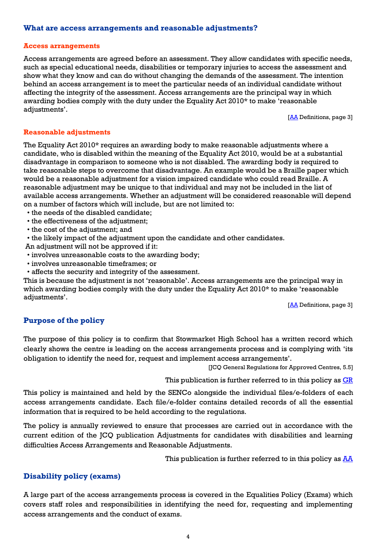#### <span id="page-3-0"></span>**What are access arrangements and reasonable adjustments?**

#### <span id="page-3-1"></span>**Access arrangements**

Access arrangements are agreed before an assessment. They allow candidates with specific needs, such as special educational needs, disabilities or temporary injuries to access the assessment and show what they know and can do without changing the demands of the assessment. The intention behind an access arrangement is to meet the particular needs of an individual candidate without affecting the integrity of the assessment. Access arrangements are the principal way in which awarding bodies comply with the duty under the Equality Act 2010\* to make 'reasonable adjustments'.

[**AA** Definitions, page 3]

#### <span id="page-3-2"></span>**Reasonable adjustments**

The Equality Act 2010\* requires an awarding body to make reasonable adjustments where a candidate, who is disabled within the meaning of the Equality Act 2010, would be at a substantial disadvantage in comparison to someone who is not disabled. The awarding body is required to take reasonable steps to overcome that disadvantage. An example would be a Braille paper which would be a reasonable adjustment for a vision impaired candidate who could read Braille. A reasonable adjustment may be unique to that individual and may not be included in the list of available access arrangements. Whether an adjustment will be considered reasonable will depend on a number of factors which will include, but are not limited to:

- the needs of the disabled candidate;
- the effectiveness of the adjustment;
- the cost of the adjustment; and
- the likely impact of the adjustment upon the candidate and other candidates.

An adjustment will not be approved if it:

- involves unreasonable costs to the awarding body;
- involves unreasonable timeframes; or
- affects the security and integrity of the assessment.

This is because the adjustment is not 'reasonable'. Access arrangements are the principal way in which awarding bodies comply with the duty under the Equality Act 2010\* to make 'reasonable adjustments'.

[\[AA](http://www.jcq.org.uk/exams-office/access-arrangements-and-special-consideration/regulations-and-guidance) Definitions, page 3]

# <span id="page-3-3"></span>**Purpose of the policy**

The purpose of this policy is to confirm that Stowmarket High School has a written record which clearly shows the centre is leading on the access arrangements process and is complying with 'its obligation to identify the need for, request and implement access arrangements'.

[JCQ General Regulations for Approved Centres, 5.5]

This publication is further referred to in this policy as  $GR$ 

This policy is maintained and held by the SENCo alongside the individual files/e-folders of each access arrangements candidate. Each file/e-folder contains detailed records of all the essential information that is required to be held according to the regulations.

The policy is annually reviewed to ensure that processes are carried out in accordance with the current edition of the JCQ publication Adjustments for candidates with disabilities and learning difficulties Access Arrangements and Reasonable Adjustments.

This publication is further referred to in this policy as  $\frac{A\overline{A}}{A}$ 

# <span id="page-3-4"></span>**Disability policy (exams)**

A large part of the access arrangements process is covered in the Equalities Policy (Exams) which covers staff roles and responsibilities in identifying the need for, requesting and implementing access arrangements and the conduct of exams.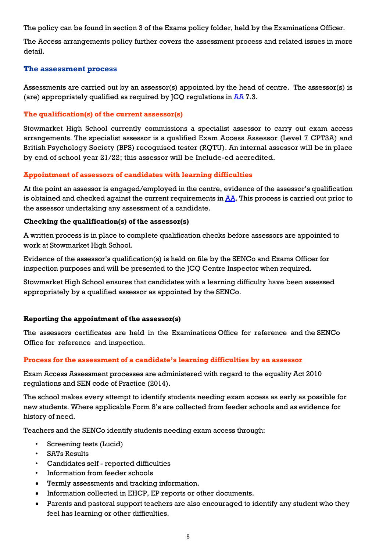The policy can be found in section 3 of the Exams policy folder, held by the Examinations Officer.

The Access arrangements policy further covers the assessment process and related issues in more detail.

# <span id="page-4-0"></span>**The assessment process**

Assessments are carried out by an assessor(s) appointed by the head of centre. The assessor(s) is (are) appropriately qualified as required by  $\text{ICO}$  requiations in [AA](http://www.jcq.org.uk/exams-office/access-arrangements-and-special-consideration/regulations-and-guidance) 7.3.

### <span id="page-4-1"></span>**The qualification(s) of the current assessor(s)**

Stowmarket High School currently commissions a specialist assessor to carry out exam access arrangements. The specialist assessor is a qualified Exam Access Assessor (Level 7 CPT3A) and British Psychology Society (BPS) recognised tester (RQTU). An internal assessor will be in place by end of school year 21/22; this assessor will be Include-ed accredited.

#### <span id="page-4-2"></span>**Appointment of assessors of candidates with learning difficulties**

At the point an assessor is engaged/employed in the centre, evidence of the assessor's qualification is obtained and checked against the current requirements in  $\overline{AA}$ . This process is carried out prior to the assessor undertaking any assessment of a candidate.

#### **Checking the qualification(s) of the assessor(s)**

A written process is in place to complete qualification checks before assessors are appointed to work at Stowmarket High School.

Evidence of the assessor's qualification(s) is held on file by the SENCo and Exams Officer for inspection purposes and will be presented to the JCQ Centre Inspector when required.

Stowmarket High School ensures that candidates with a learning difficulty have been assessed appropriately by a qualified assessor as appointed by the SENCo.

#### **Reporting the appointment of the assessor(s)**

The assessors certificates are held in the Examinations Office for reference and the SENCo Office for reference and inspection.

#### <span id="page-4-3"></span>**Process for the assessment of a candidate's learning difficulties by an assessor**

Exam Access Assessment processes are administered with regard to the equality Act 2010 regulations and SEN code of Practice (2014).

The school makes every attempt to identify students needing exam access as early as possible for new students. Where applicable Form 8's are collected from feeder schools and as evidence for history of need.

Teachers and the SENCo identify students needing exam access through:

- Screening tests (Lucid)
- SATs Results
- Candidates self reported difficulties
- Information from feeder schools
- Termly assessments and tracking information.
- Information collected in EHCP, EP reports or other documents.
- Parents and pastoral support teachers are also encouraged to identify any student who they feel has learning or other difficulties.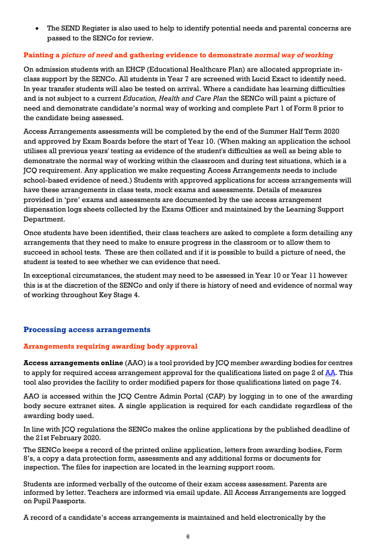The SEND Register is also used to help to identify potential needs and parental concerns are passed to the SENCo for review.

# <span id="page-5-0"></span>**Painting a** *picture of need* **and gathering evidence to demonstrate** *normal way of working*

On admission students with an EHCP (Educational Healthcare Plan) are allocated appropriate inclass support by the SENCo. All students in Year 7 are screened with Lucid Exact to identify need. In year transfer students will also be tested on arrival. Where a candidate has learning difficulties and is not subject to a current *Education, Health and Care Plan* the SENCo will paint a picture of need and demonstrate candidate's normal way of working and complete Part 1 of Form 8 prior to the candidate being assessed.

Access Arrangements assessments will be completed by the end of the Summer Half Term 2020 and approved by Exam Boards before the start of Year 10. (When making an application the school utilises all previous years' testing as evidence of the student's difficulties as well as being able to demonstrate the normal way of working within the classroom and during test situations, which is a JCQ requirement. Any application we make requesting Access Arrangements needs to include school-based evidence of need.) Students with approved applications for access arrangements will have these arrangements in class tests, mock exams and assessments. Details of measures provided in 'pre' exams and assessments are documented by the use access arrangement dispensation logs sheets collected by the Exams Officer and maintained by the Learning Support Department.

Once students have been identified, their class teachers are asked to complete a form detailing any arrangements that they need to make to ensure progress in the classroom or to allow them to succeed in school tests. These are then collated and if it is possible to build a picture of need, the student is tested to see whether we can evidence that need.

In exceptional circumstances, the student may need to be assessed in Year 10 or Year 11 however this is at the discretion of the SENCo and only if there is history of need and evidence of normal way of working throughout Key Stage 4.

# <span id="page-5-1"></span>**Processing access arrangements**

# <span id="page-5-2"></span>**Arrangements requiring awarding body approval**

**Access arrangements online** (AAO) is a tool provided by JCQ member awarding bodies for centres to apply for required access arrangement approval for the qualifications listed on page 2 of  $\frac{A\overline{A}}{A}$ . This tool also provides the facility to order modified papers for those qualifications listed on page 74.

AAO is accessed within the JCQ Centre Admin Portal (CAP) by logging in to one of the awarding body secure extranet sites. A single application is required for each candidate regardless of the awarding body used.

In line with JCQ regulations the SENCo makes the online applications by the published deadline of the 21st February 2020.

The SENCo keeps a record of the printed online application, letters from awarding bodies, Form 8's, a copy a data protection form, assessments and any additional forms or documents for inspection. The files for inspection are located in the learning support room.

Students are informed verbally of the outcome of their exam access assessment. Parents are informed by letter. Teachers are informed via email update. All Access Arrangements are logged on Pupil Passports.

A record of a candidate's access arrangements is maintained and held electronically by the